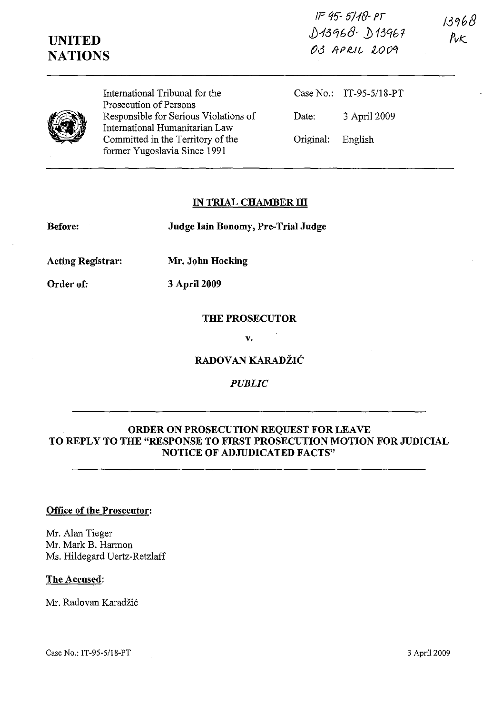IP tf'J- 5'!1{}- *Pi*   $0.13968 - 0.13967$ 03 APRIL 2009

**UNITED NATIONS** 

/-3'168  $P_{V}$ 



International Tribunal for the Prosecution of Persons Responsible for Serious Violations of International Humanitarian Law Committed in the Territory of the former Yugoslavia Since 1991

Case No.: IT-95-5118-PT Date: 3 April 2009 Original: English

## **IN TRIAL CHAMBER III**

**Before:** 

**Judge lain Bonomy, Pre-Trial Judge** 

**Acting Registrar: Mr. John Hocking** 

**Order of: 3** April 2009

**THE PROSECUTOR** 

**v.** 

**RADOVAN KARADZIC** 

*PUBLIC* 

## **ORDER ON PROSECUTION REQUEST FOR LEAVE TO REPLY TO THE "RESPONSE TO FIRST PROSECUTION MOTION FOR JUDICIAL NOTICE OF ADJUDICATED FACTS"**

## **Office of the Prosecutor:**

Mr. Alan Tieger Mr. Mark B. Harmon Ms. Hildegard Uertz-Retzlaff

## **The Accused:**

Mr. Radovan Karadžić